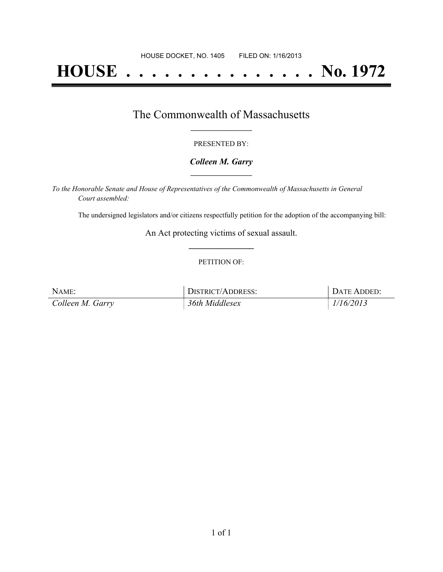# **HOUSE . . . . . . . . . . . . . . . No. 1972**

## The Commonwealth of Massachusetts **\_\_\_\_\_\_\_\_\_\_\_\_\_\_\_\_\_**

#### PRESENTED BY:

#### *Colleen M. Garry* **\_\_\_\_\_\_\_\_\_\_\_\_\_\_\_\_\_**

*To the Honorable Senate and House of Representatives of the Commonwealth of Massachusetts in General Court assembled:*

The undersigned legislators and/or citizens respectfully petition for the adoption of the accompanying bill:

An Act protecting victims of sexual assault. **\_\_\_\_\_\_\_\_\_\_\_\_\_\_\_**

#### PETITION OF:

| NAME:            | DISTRICT/ADDRESS: | DATE ADDED: |
|------------------|-------------------|-------------|
| Colleen M. Garry | 36th Middlesex    | 1/16/2013   |